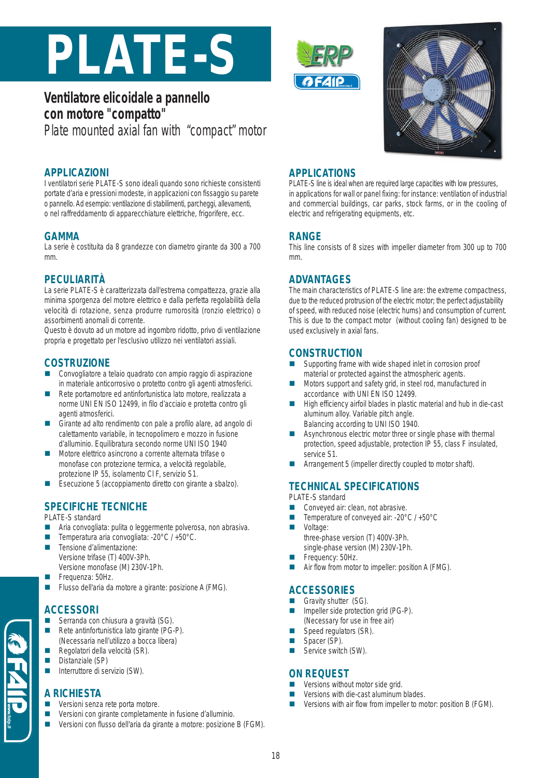# **PLATE-S**

# **Ventilatore elicoidale a pannello con motore "compatto"** Plate mounted axial fan with "compact" motor

#### **APPLICAZIONI**

I ventilatori serie PLATE-S sono ideali quando sono richieste consistenti portate d'aria e pressioni modeste, in applicazioni con fissaggio su parete o pannello. Ad esempio: ventilazione di stabilimenti, parcheggi, allevamenti, o nel raffreddamento di apparecchiature elettriche, frigorifere, ecc.

#### **GAMMA**

La serie è costituita da 8 grandezze con diametro girante da 300 a 700 mm.

#### **PECULIARITÀ**

La serie PLATE-S è caratterizzata dall'estrema compattezza, grazie alla minima sporgenza del motore elettrico e dalla perfetta regolabilità della velocità di rotazione, senza produrre rumorosità (ronzio elettrico) o assorbimenti anomali di corrente.

Questo è dovuto ad un motore ad ingombro ridotto, privo di ventilazione propria e progettato per l'esclusivo utilizzo nei ventilatori assiali.

#### **COSTRUZIONE**

- Convogliatore a telaio quadrato con ampio raggio di aspirazione in materiale anticorrosivo o protetto contro gli agenti atmosferici.
- Rete portamotore ed antinfortunistica lato motore, realizzata a norme UNI EN ISO 12499, in filo d'acciaio e protetta contro gli agenti atmosferici.
- Girante ad alto rendimento con pale a profilo alare, ad angolo di calettamento variabile, in tecnopolimero e mozzo in fusione d'alluminio. Equilibratura secondo norme UNI ISO 1940
- Motore elettrico asincrono a corrente alternata trifase o monofase con protezione termica, a velocità regolabile, protezione IP 55, isolamento Cl F, servizio S1.
- Esecuzione 5 (accoppiamento diretto con girante a sbalzo).

# **SPECIFICHE TECNICHE**

PLATE-S standard

- Aria convogliata: pulita o leggermente polverosa, non abrasiva.
- Temperatura aria convogliata: -20°C / +50°C.
- Tensione d'alimentazione: Versione trifase (T) 400V-3Ph.
- Versione monofase (M) 230V-1Ph.
- Frequenza: 50Hz.
- Flusso dell'aria da motore a girante: posizione A (FMG).

# **ACCESSORI**

- Serranda con chiusura a gravità (SG).
- Rete antinfortunistica lato girante (PG-P). (Necessaria nell'utilizzo a bocca libera)
- Regolatori della velocità (SR).
- Distanziale (SP)
- Interruttore di servizio (SW).

# **A RICHIESTA**

- Versioni senza rete porta motore.
- Versioni con girante completamente in fusione d'alluminio.
- Versioni con flusso dell'aria da girante a motore: posizione B (FGM).





#### **APPLICATIONS**

PLATE-S line is ideal when are required large capacities with low pressures, in applications for wall or panel fixing: for instance: ventilation of industrial and commercial buildings, car parks, stock farms, or in the cooling of electric and refrigerating equipments, etc.

#### **RANGE**

This line consists of 8 sizes with impeller diameter from 300 up to 700 mm.

#### **ADVANTAGES**

The main characteristics of PLATE-S line are: the extreme compactness, due to the reduced protrusion of the electric motor; the perfect adjustability of speed, with reduced noise (electric hums) and consumption of current. This is due to the compact motor (without cooling fan) designed to be used exclusively in axial fans.

#### **CONSTRUCTION**

- Supporting frame with wide shaped inlet in corrosion proof material or protected against the atmospheric agents.
- Motors support and safety grid, in steel rod, manufactured in accordance with UNI EN ISO 12499.
- High efficiency airfoil blades in plastic material and hub in die-cast aluminum alloy. Variable pitch angle. Balancing according to UNI ISO 1940.
- **Asynchronous electric motor three or single phase with thermal** protection, speed adjustable, protection IP 55, class F insulated, service S1.
- Arrangement 5 (impeller directly coupled to motor shaft).

# **TECHNICAL SPECIFICATIONS**

- PLATE-S standard
- Conveyed air: clean, not abrasive.
- Temperature of conveyed air: -20°C / +50°C
- **Noltage:** 
	- three-phase version (T) 400V-3Ph. single-phase version (M) 230V-1Ph.
- Frequency: 50Hz.
- Air flow from motor to impeller: position A (FMG).

# **ACCESSORIES**

- Gravity shutter (SG). Impeller side protection grid (PG-P). (Necessary for use in free air)
- Speed regulators (SR).
- Spacer (SP).
- Service switch (SW).

## **ON REQUEST**

- Versions without motor side grid.
- Versions with die-cast aluminum blades.
- **UP** Versions with air flow from impeller to motor: position B (FGM).

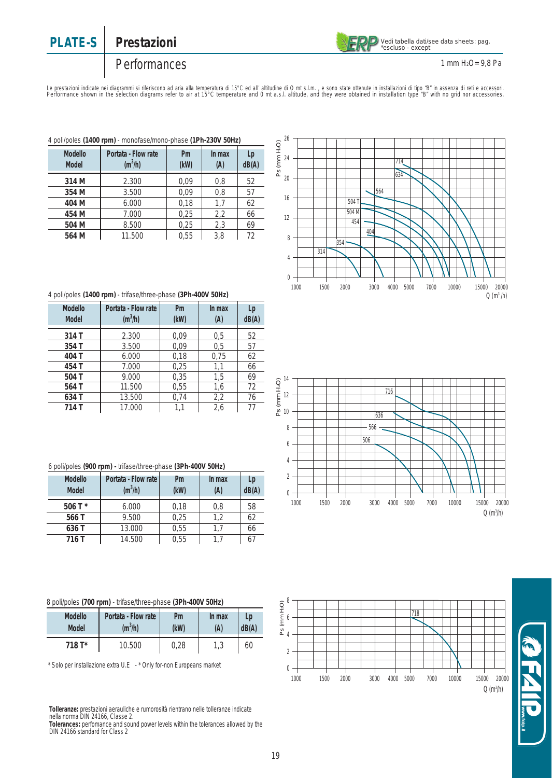# **PLATE-S** Prestazioni



1 mm H2O= 9,8 Pa

# Performances

Le prestazioni indicate nei diagrammi si riteriscono ad aria alla temperatura di 15°C ed all'altitudine di O mt<br>Si altitudio di interpretation diagrams refer to air at 15°C temperature and 0 mt a.s.l. altitude, and they we

| 4 poli/poles (1400 rpm) - monofase/mono-phase (1Ph-230V 50Hz) |                                  |            |               |             |  |
|---------------------------------------------------------------|----------------------------------|------------|---------------|-------------|--|
| Modello<br><b>Model</b>                                       | Portata - Flow rate<br>$(m^3/h)$ | Pm<br>(kW) | In max<br>(A) | Lp<br>dB(A) |  |
| 314 M                                                         | 2.300                            | 0.09       | 0,8           | 52          |  |
| 354 M                                                         | 3.500                            | 0.09       | 0,8           | 57          |  |
| 404 M                                                         | 6.000                            | 0,18       | 1,7           | 62          |  |
| 454 M                                                         | 7.000                            | 0,25       | 2,2           | 66          |  |
| 504 M                                                         | 8.500                            | 0,25       | 2,3           | 69          |  |
| 564 M                                                         | 11.500                           | 0.55       | 3.8           | 72          |  |

#### 4 poli/poles **(1400 rpm)** - trifase/three-phase **(3Ph-400V 50Hz)**

| Modello<br><b>Model</b> | Portata - Flow rate<br>$(m^3/h)$ | Pm<br>(kW) | In max<br>(A) | Lp<br>dB(A) |
|-------------------------|----------------------------------|------------|---------------|-------------|
| 314 T                   | 2.300                            | 0.09       | 0,5           | 52          |
| 354 T                   | 3.500                            | 0.09       | 0,5           | 57          |
| 404 T                   | 6.000                            | 0,18       | 0,75          | 62          |
| 454 T                   | 7.000                            | 0,25       | 1,1           | 66          |
| 504 T                   | 9.000                            | 0,35       | 1,5           | 69          |
| 564 T                   | 11.500                           | 0,55       | 1,6           | 72          |
| 634 T                   | 13.500                           | 0,74       | 2,2           | 76          |
| 714 T                   | 17.000                           | 1,1        | 2,6           | 77          |

|  | 6 poli/poles (900 rpm) - trifase/three-phase (3Ph-400V 50Hz) |  |
|--|--------------------------------------------------------------|--|
|  |                                                              |  |

| Modello<br><b>Model</b> | Portata - Flow rate<br>$(m^3/h)$ | Pm<br>(kW) | In max<br>(A) | Lp<br>dB(A) |
|-------------------------|----------------------------------|------------|---------------|-------------|
| 506 T $*$               | 6.000                            | 0,18       | 0,8           | 58          |
| 566 T                   | 9.500                            | 0.25       | 1.2           | 62          |
| 636 T                   | 13.000                           | 0.55       |               | 66          |
| 716 T                   | 14.500                           | 0.55       |               | 67          |

|  |  |  | 8 poli/poles (700 rpm) - trifase/three-phase (3Ph-400V 50Hz) |  |
|--|--|--|--------------------------------------------------------------|--|
|--|--|--|--------------------------------------------------------------|--|

| Modello | Portata - Flow rate | Pm   | In max | Lp    |
|---------|---------------------|------|--------|-------|
| Model   | $(m^3/h)$           | (kW) | (A)    | dB(A) |
| 718 T*  | 10.500              | 0.28 | ں ، ا  | 60    |

\* Solo per installazione extra U.E - \* Only for-non Europeans market

**Tolleranze:** prestazioni aerauliche e rumorosità rientrano nelle tolleranze indicate nella norma DIN 24166, Classe 2. **Tolerances:** perfomance and sound power levels within the tolerances allowed by the DIN 24166 standard for Class 2







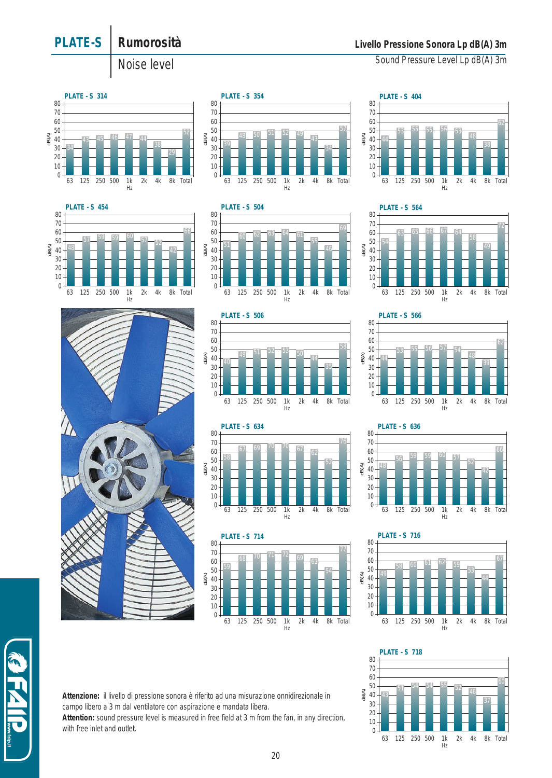

**Attention:** sound pressure level is measured in free field at 3 m from the fan, in any direction, with free inlet and outlet.

**PLATE-S Rumorosità**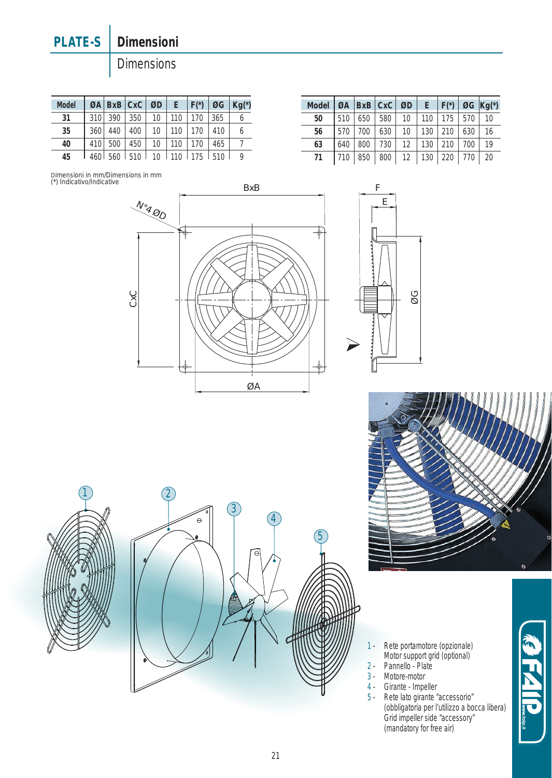# **PLATE-S** Dimensioni

**Dimensions** 

| <b>Model</b> |     |           | $\varnothing$ A   BxB   CxC   $\varnothing$ D |                 | E   | $ F* $ |     | $\emptyset$ G   Kg(*) |
|--------------|-----|-----------|-----------------------------------------------|-----------------|-----|--------|-----|-----------------------|
| 31           | 310 | 390       | 350                                           | 10              | 110 | 170    | 365 |                       |
| 35           | 360 | 440       | 400                                           | 10 <sup>°</sup> | 110 | 170    | 410 | 6                     |
| 40           | 410 | 500       | 450                                           | 10              | 110 | 170    | 465 |                       |
| 45           |     | $460$ 560 | 510                                           | $-10$           | 110 | 175    | 510 | Q                     |

| <b>Model</b> |     | $QA$   $BxB$   $CxC$ |     | ØD                |     | $E \mid F^{*}$ |     | $\emptyset$ G $Kq(*)$ |
|--------------|-----|----------------------|-----|-------------------|-----|----------------|-----|-----------------------|
| 50           | 510 | 650                  | 580 | 10                | 110 | 175            | 570 | 10                    |
| 56           | 570 | 700                  | 630 | 10                | 130 | 210            | 630 | 16                    |
| 63           | 640 | 800                  | 730 | $12 \overline{ }$ | 130 | 210            | 700 | 19                    |
| 71           |     | 850                  | 800 | 12                | 130 | 220            | 770 | 20                    |













- 1 Rete portamotore (opzionale) Motor support grid (optional)
- 2 Pannello Plate
- 3 Motore-motor
- 4 Girante Impeller
- 5 Rete lato girante "accessorio" (obbligatoria per l'utilizzo a bocca libera) Grid impeller side "accessory" (mandatory for free air)